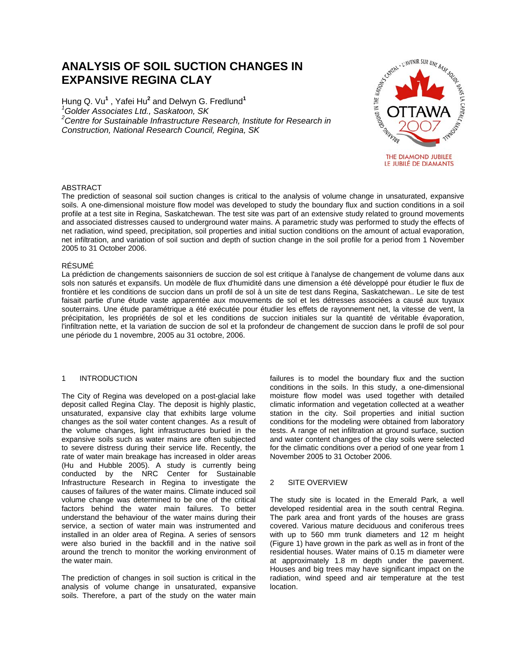# **ANALYSIS OF SOIL SUCTION CHANGES IN EXPANSIVE REGINA CLAY**

Hung Q. Vu<sup>1</sup>, Yafei Hu<sup>2</sup> and Delwyn G. Fredlund<sup>1</sup> *1 Golder Associates Ltd., Saskatoon, SK*  <sup>2</sup> Centre for Sustainable Infrastructure Research, Institute for Research in *Construction, National Research Council, Regina, SK* 



## ABSTRACT

The prediction of seasonal soil suction changes is critical to the analysis of volume change in unsaturated, expansive soils. A one-dimensional moisture flow model was developed to study the boundary flux and suction conditions in a soil profile at a test site in Regina, Saskatchewan. The test site was part of an extensive study related to ground movements and associated distresses caused to underground water mains. A parametric study was performed to study the effects of net radiation, wind speed, precipitation, soil properties and initial suction conditions on the amount of actual evaporation, net infiltration, and variation of soil suction and depth of suction change in the soil profile for a period from 1 November 2005 to 31 October 2006.

#### RÉSUMÉ

La prédiction de changements saisonniers de succion de sol est critique à l'analyse de changement de volume dans aux sols non saturés et expansifs. Un modèle de flux d'humidité dans une dimension a été développé pour étudier le flux de frontière et les conditions de succion dans un profil de sol à un site de test dans Regina, Saskatchewan.. Le site de test faisait partie d'une étude vaste apparentée aux mouvements de sol et les détresses associées a causé aux tuyaux souterrains. Une étude paramétrique a été exécutée pour étudier les effets de rayonnement net, la vitesse de vent, la précipitation, les propriétés de sol et les conditions de succion initiales sur la quantité de véritable évaporation, l'infiltration nette, et la variation de succion de sol et la profondeur de changement de succion dans le profil de sol pour une période du 1 novembre, 2005 au 31 octobre, 2006.

## 1 INTRODUCTION

The City of Regina was developed on a post-glacial lake deposit called Regina Clay. The deposit is highly plastic, unsaturated, expansive clay that exhibits large volume changes as the soil water content changes. As a result of the volume changes, light infrastructures buried in the expansive soils such as water mains are often subjected to severe distress during their service life. Recently, the rate of water main breakage has increased in older areas (Hu and Hubble 2005). A study is currently being conducted by the NRC Center for Sustainable Infrastructure Research in Regina to investigate the causes of failures of the water mains. Climate induced soil volume change was determined to be one of the critical factors behind the water main failures. To better understand the behaviour of the water mains during their service, a section of water main was instrumented and installed in an older area of Regina. A series of sensors were also buried in the backfill and in the native soil around the trench to monitor the working environment of the water main.

The prediction of changes in soil suction is critical in the analysis of volume change in unsaturated, expansive soils. Therefore, a part of the study on the water main failures is to model the boundary flux and the suction conditions in the soils. In this study, a one-dimensional moisture flow model was used together with detailed climatic information and vegetation collected at a weather station in the city. Soil properties and initial suction conditions for the modeling were obtained from laboratory tests. A range of net infiltration at ground surface, suction and water content changes of the clay soils were selected for the climatic conditions over a period of one year from 1 November 2005 to 31 October 2006.

## 2 SITE OVERVIEW

The study site is located in the Emerald Park, a well developed residential area in the south central Regina. The park area and front yards of the houses are grass covered. Various mature deciduous and coniferous trees with up to 560 mm trunk diameters and 12 m height (Figure 1) have grown in the park as well as in front of the residential houses. Water mains of 0.15 m diameter were at approximately 1.8 m depth under the pavement. Houses and big trees may have significant impact on the radiation, wind speed and air temperature at the test location.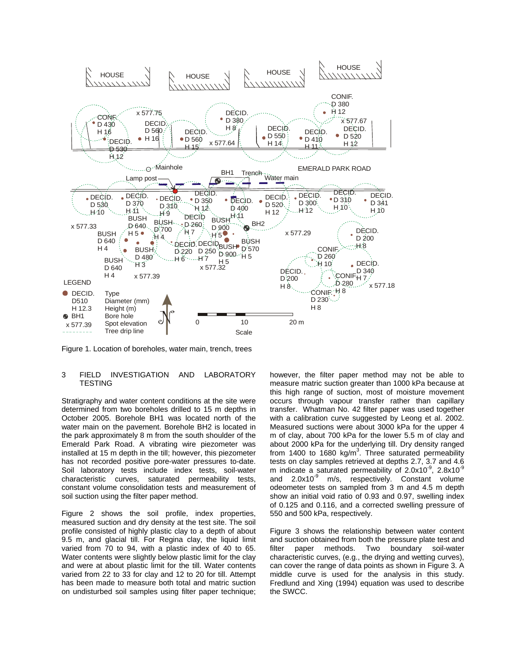

Figure 1. Location of boreholes, water main, trench, trees

#### 3 FIELD INVESTIGATION AND LABORATORY **TESTING**

Stratigraphy and water content conditions at the site were determined from two boreholes drilled to 15 m depths in October 2005. Borehole BH1 was located north of the water main on the pavement. Borehole BH2 is located in the park approximately 8 m from the south shoulder of the Emerald Park Road. A vibrating wire piezometer was installed at 15 m depth in the till; however, this piezometer has not recorded positive pore-water pressures to-date. Soil laboratory tests include index tests, soil-water characteristic curves, saturated permeability tests, constant volume consolidation tests and measurement of soil suction using the filter paper method.

Figure 2 shows the soil profile, index properties, measured suction and dry density at the test site. The soil profile consisted of highly plastic clay to a depth of about 9.5 m, and glacial till. For Regina clay, the liquid limit varied from 70 to 94, with a plastic index of 40 to 65. Water contents were slightly below plastic limit for the clay and were at about plastic limit for the till. Water contents varied from 22 to 33 for clay and 12 to 20 for till. Attempt has been made to measure both total and matric suction on undisturbed soil samples using filter paper technique;

however, the filter paper method may not be able to measure matric suction greater than 1000 kPa because at this high range of suction, most of moisture movement occurs through vapour transfer rather than capillary transfer. Whatman No. 42 filter paper was used together with a calibration curve suggested by Leong et al. 2002. Measured suctions were about 3000 kPa for the upper 4 m of clay, about 700 kPa for the lower 5.5 m of clay and about 2000 kPa for the underlying till. Dry density ranged from 1400 to 1680 kg/m<sup>3</sup>. Three saturated permeability tests on clay samples retrieved at depths 2.7, 3.7 and 4.6 m indicate a saturated permeability of  $2.0x10^{-9}$ ,  $2.8x10^{-9}$ and  $2.0x10^{-9}$  m/s, respectively. Constant volume odeometer tests on sampled from 3 m and 4.5 m depth show an initial void ratio of 0.93 and 0.97, swelling index of 0.125 and 0.116, and a corrected swelling pressure of 550 and 500 kPa, respectively.

Figure 3 shows the relationship between water content and suction obtained from both the pressure plate test and filter paper methods. Two boundary soil-water characteristic curves, (e.g., the drying and wetting curves), can cover the range of data points as shown in Figure 3. A middle curve is used for the analysis in this study. Fredlund and Xing (1994) equation was used to describe the SWCC.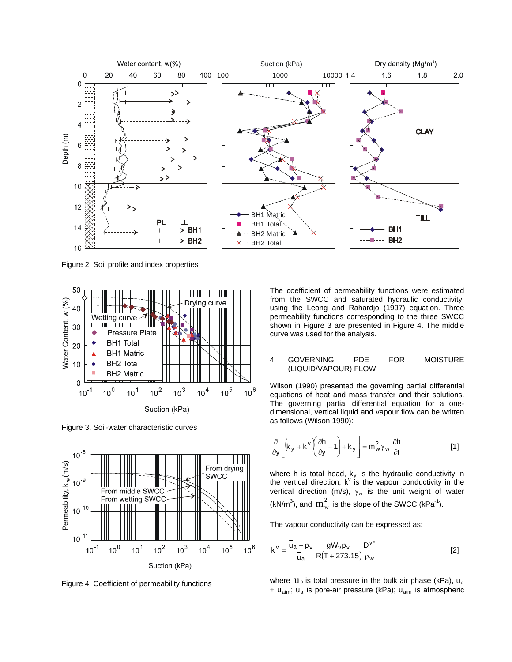

Figure 2. Soil profile and index properties



Figure 3. Soil-water characteristic curves



Figure 4. Coefficient of permeability functions

The coefficient of permeability functions were estimated from the SWCC and saturated hydraulic conductivity, using the Leong and Rahardjo (1997) equation. Three permeability functions corresponding to the three SWCC shown in Figure 3 are presented in Figure 4. The middle curve was used for the analysis.

4 GOVERNING PDE FOR MOISTURE (LIQUID/VAPOUR) FLOW

Wilson (1990) presented the governing partial differential equations of heat and mass transfer and their solutions. The governing partial differential equation for a onedimensional, vertical liquid and vapour flow can be written as follows (Wilson 1990):

$$
\frac{\partial}{\partial y} \left[ \left( k_y + k^v \left( \frac{\partial h}{\partial y} - 1 \right) + k_y \right) \right] = m_w^2 \gamma_w \frac{\partial h}{\partial t}
$$
 [1]

where h is total head,  $k_y$  is the hydraulic conductivity in the vertical direction,  $k^v$  is the vapour conductivity in the vertical direction (m/s),  $\gamma_w$  is the unit weight of water (kN/m<sup>3</sup>), and  $m_w^2$  is the slope of the SWCC (kPa<sup>-1</sup>).

The vapour conductivity can be expressed as:

$$
k^{v} = \frac{\bar{u}_{a} + p_{v}}{\bar{u}_{a}} \frac{gW_{v}p_{v}}{R(T + 273.15)} \frac{D^{v^{*}}}{\rho_{w}}
$$
 [2]

where  $u_a$  is total pressure in the bulk air phase (kPa),  $u_a$ +  $u_{atm}$ ;  $u_a$  is pore-air pressure (kPa);  $u_{atm}$  is atmospheric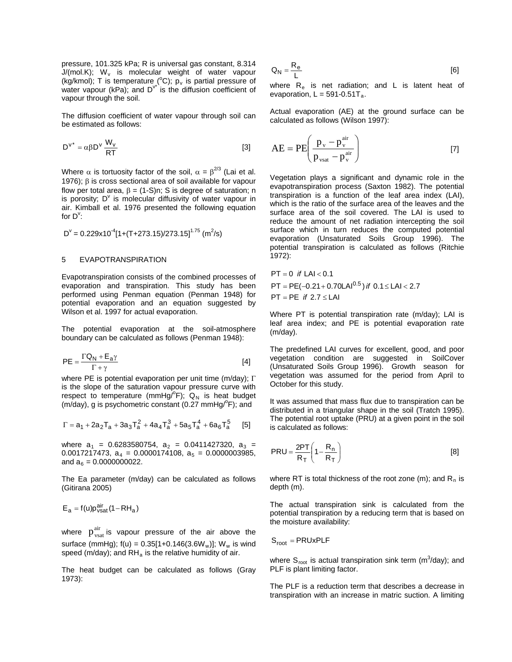pressure, 101.325 kPa; R is universal gas constant, 8.314  $J/(mol.K);$  W<sub>v</sub> is molecular weight of water vapour (kg/kmol); T is temperature (°C);  $p_v$  is partial pressure of water vapour (kPa); and  $D^{v^*}$  is the diffusion coefficient of vapour through the soil.

The diffusion coefficient of water vapour through soil can be estimated as follows:

$$
D^{v^*} = \alpha \beta D^v \frac{W_v}{RT}
$$
 [3]

Where  $\alpha$  is tortuosity factor of the soil,  $\alpha = \beta^{2/3}$  (Lai et al. 1976); β is cross sectional area of soil available for vapour flow per total area,  $\beta = (1-S)n$ ; S is degree of saturation; n is porosity;  $D^{\vee}$  is molecular diffusivity of water vapour in air. Kimball et al. 1976 presented the following equation for  $D^{\vee}$ :

$$
D^{v} = 0.229 \times 10^{-4} [1 + (T + 273.15)/273.15]^{1.75} (m^{2}/s)
$$

#### 5 EVAPOTRANSPIRATION

Evapotranspiration consists of the combined processes of evaporation and transpiration. This study has been performed using Penman equation (Penman 1948) for potential evaporation and an equation suggested by Wilson et al. 1997 for actual evaporation.

The potential evaporation at the soil-atmosphere boundary can be calculated as follows (Penman 1948):

$$
PE = \frac{\Gamma Q_N + E_a \gamma}{\Gamma + \gamma} \tag{4}
$$

where PE is potential evaporation per unit time (m/day);  $\Gamma$ is the slope of the saturation vapour pressure curve with respect to temperature (mmHg/ $^{\circ}$ F);  $Q_{N}$  is heat budget (m/day), g is psychometric constant  $(0.27 \text{ mmHg}^{\circ}F)$ ; and

$$
\Gamma = a_1 + 2a_2T_a + 3a_3T_a^2 + 4a_4T_a^3 + 5a_5T_a^4 + 6a_6T_a^5 \qquad [5]
$$

where  $a_1 = 0.6283580754$ ,  $a_2 = 0.0411427320$ ,  $a_3 =$ 0.0017217473,  $a_4 = 0.0000174108$ ,  $a_5 = 0.0000003985$ , and  $a_6 = 0.0000000022$ .

The Ea parameter (m/day) can be calculated as follows (Gitirana 2005)

$$
E_a = f(u)p_{\text{vsat}}^{\text{air}}(1 - RH_a)
$$

where  $p_{\text{vsat}}^{\text{air}}$  is vapour pressure of the air above the surface (mmHg);  $f(u) = 0.35[1+0.146(3.6W_w)]$ ; W<sub>w</sub> is wind speed (m/day); and  $RH<sub>a</sub>$  is the relative humidity of air.

The heat budget can be calculated as follows (Gray 1973):

$$
Q_N = \frac{R_e}{L}
$$
 [6]

where  $R_e$  is net radiation; and L is latent heat of evaporation,  $L = 591 - 0.51T_a$ .

Actual evaporation (AE) at the ground surface can be calculated as follows (Wilson 1997):

$$
AE = PE \left( \frac{p_v - p_v^{air}}{p_{vsat} - p_v^{air}} \right)
$$
 [7]

Vegetation plays a significant and dynamic role in the evapotranspiration process (Saxton 1982). The potential transpiration is a function of the leaf area index (LAI), which is the ratio of the surface area of the leaves and the surface area of the soil covered. The LAI is used to reduce the amount of net radiation intercepting the soil surface which in turn reduces the computed potential evaporation (Unsaturated Soils Group 1996). The potential transpiration is calculated as follows (Ritchie 1972):

 $PT = 0$  *if*  $LA < 0.1$  $PT = PE(-0.21 + 0.70LAI^{0.5})$  *if*  $0.1 \le LAI < 2.7$  $PT = PE$  *if*  $2.7 \leq LAI$ 

Where PT is potential transpiration rate (m/day); LAI is leaf area index; and PE is potential evaporation rate (m/day).

The predefined LAI curves for excellent, good, and poor vegetation condition are suggested in SoilCover (Unsaturated Soils Group 1996). Growth season for vegetation was assumed for the period from April to October for this study.

It was assumed that mass flux due to transpiration can be distributed in a triangular shape in the soil (Tratch 1995). The potential root uptake (PRU) at a given point in the soil is calculated as follows:

$$
PRU = \frac{2PT}{R_T} \left( 1 - \frac{R_n}{R_T} \right)
$$
 [8]

where RT is total thickness of the root zone (m); and  $R_n$  is depth (m).

The actual transpiration sink is calculated from the potential transpiration by a reducing term that is based on the moisture availability:

 $S_{\text{root}} = PRUxPLF$ 

where  $S_{\text{root}}$  is actual transpiration sink term (m<sup>3</sup>/day); and PLF is plant limiting factor.

The PLF is a reduction term that describes a decrease in transpiration with an increase in matric suction. A limiting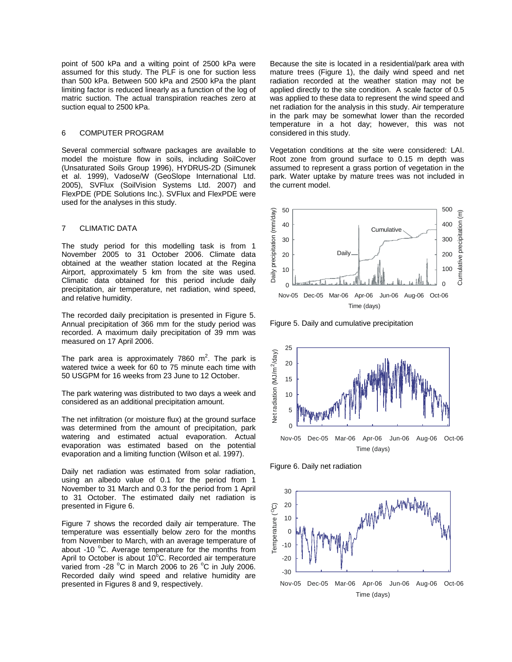point of 500 kPa and a wilting point of 2500 kPa were assumed for this study. The PLF is one for suction less than 500 kPa. Between 500 kPa and 2500 kPa the plant limiting factor is reduced linearly as a function of the log of matric suction. The actual transpiration reaches zero at suction equal to 2500 kPa.

# 6 COMPUTER PROGRAM

Several commercial software packages are available to model the moisture flow in soils, including SoilCover (Unsaturated Soils Group 1996), HYDRUS-2D (Simunek et al. 1999), Vadose/W (GeoSlope International Ltd. 2005), SVFlux (SoilVision Systems Ltd. 2007) and FlexPDE (PDE Solutions Inc.). SVFlux and FlexPDE were used for the analyses in this study.

## 7 CLIMATIC DATA

The study period for this modelling task is from 1 November 2005 to 31 October 2006. Climate data obtained at the weather station located at the Regina Airport, approximately 5 km from the site was used. Climatic data obtained for this period include daily precipitation, air temperature, net radiation, wind speed, and relative humidity.

The recorded daily precipitation is presented in Figure 5. Annual precipitation of 366 mm for the study period was recorded. A maximum daily precipitation of 39 mm was measured on 17 April 2006.

The park area is approximately 7860  $m^2$ . The park is watered twice a week for 60 to 75 minute each time with 50 USGPM for 16 weeks from 23 June to 12 October.

The park watering was distributed to two days a week and considered as an additional precipitation amount.

The net infiltration (or moisture flux) at the ground surface was determined from the amount of precipitation, park watering and estimated actual evaporation. Actual evaporation was estimated based on the potential evaporation and a limiting function (Wilson et al. 1997).

Daily net radiation was estimated from solar radiation, using an albedo value of 0.1 for the period from 1 November to 31 March and 0.3 for the period from 1 April to 31 October. The estimated daily net radiation is presented in Figure 6.

Figure 7 shows the recorded daily air temperature. The temperature was essentially below zero for the months from November to March, with an average temperature of about -10  $\mathrm{^{\circ}C}$ . Average temperature for the months from April to October is about 10°C. Recorded air temperature varied from -28  $^{\circ}$ C in March 2006 to 26  $^{\circ}$ C in July 2006. Recorded daily wind speed and relative humidity are presented in Figures 8 and 9, respectively.

Because the site is located in a residential/park area with mature trees (Figure 1), the daily wind speed and net radiation recorded at the weather station may not be applied directly to the site condition. A scale factor of 0.5 was applied to these data to represent the wind speed and net radiation for the analysis in this study. Air temperature in the park may be somewhat lower than the recorded temperature in a hot day; however, this was not considered in this study.

Vegetation conditions at the site were considered: LAI. Root zone from ground surface to 0.15 m depth was assumed to represent a grass portion of vegetation in the park. Water uptake by mature trees was not included in the current model.



Figure 5. Daily and cumulative precipitation



Figure 6. Daily net radiation

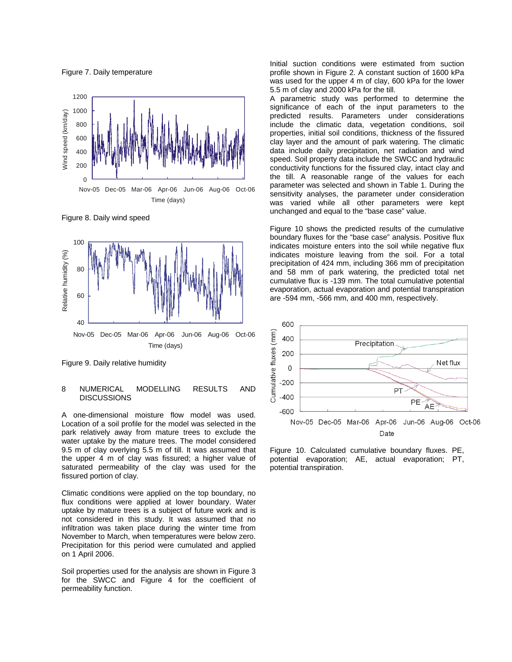Figure 7. Daily temperature



Figure 8. Daily wind speed



Figure 9. Daily relative humidity

#### 8 NUMERICAL MODELLING RESULTS AND **DISCUSSIONS**

A one-dimensional moisture flow model was used. Location of a soil profile for the model was selected in the park relatively away from mature trees to exclude the water uptake by the mature trees. The model considered 9.5 m of clay overlying 5.5 m of till. It was assumed that the upper 4 m of clay was fissured; a higher value of saturated permeability of the clay was used for the fissured portion of clay.

Climatic conditions were applied on the top boundary, no flux conditions were applied at lower boundary. Water uptake by mature trees is a subject of future work and is not considered in this study. It was assumed that no infiltration was taken place during the winter time from November to March, when temperatures were below zero. Precipitation for this period were cumulated and applied on 1 April 2006.

Soil properties used for the analysis are shown in Figure 3 for the SWCC and Figure 4 for the coefficient of permeability function.

Initial suction conditions were estimated from suction profile shown in Figure 2. A constant suction of 1600 kPa was used for the upper 4 m of clay, 600 kPa for the lower 5.5 m of clay and 2000 kPa for the till.

A parametric study was performed to determine the significance of each of the input parameters to the predicted results. Parameters under considerations include the climatic data, vegetation conditions, soil properties, initial soil conditions, thickness of the fissured clay layer and the amount of park watering. The climatic data include daily precipitation, net radiation and wind speed. Soil property data include the SWCC and hydraulic conductivity functions for the fissured clay, intact clay and the till. A reasonable range of the values for each parameter was selected and shown in Table 1. During the sensitivity analyses, the parameter under consideration was varied while all other parameters were kept unchanged and equal to the "base case" value.

Figure 10 shows the predicted results of the cumulative boundary fluxes for the "base case" analysis. Positive flux indicates moisture enters into the soil while negative flux indicates moisture leaving from the soil. For a total precipitation of 424 mm, including 366 mm of precipitation and 58 mm of park watering, the predicted total net cumulative flux is -139 mm. The total cumulative potential evaporation, actual evaporation and potential transpiration are -594 mm, -566 mm, and 400 mm, respectively.



Figure 10. Calculated cumulative boundary fluxes. PE, potential evaporation; AE, actual evaporation; PT, potential transpiration.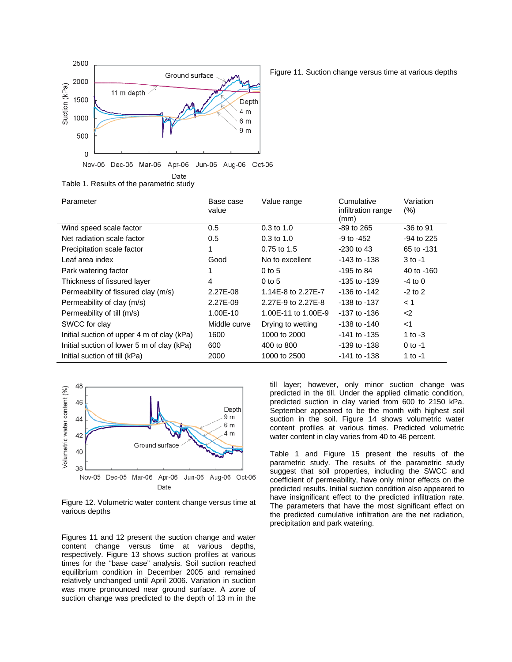

Table 1. Results of the parametric study

| Base case<br>value | Value range         | Cumulative<br>infiltration range<br>(mm) | Variation<br>(% ) |
|--------------------|---------------------|------------------------------------------|-------------------|
| 0.5                | $0.3$ to $1.0$      | -89 to 265                               | $-36$ to 91       |
| 0.5                | $0.3$ to 1.0        | $-9$ to $-452$                           | $-94$ to 225      |
|                    | 0.75 to 1.5         | $-230$ to 43                             | 65 to -131        |
| Good               | No to excellent     | -143 to -138                             | $3$ to $-1$       |
|                    | $0$ to 5            | -195 to 84                               | 40 to -160        |
| 4                  | $0$ to 5            | -135 to -139                             | $-4$ to 0         |
| 2.27E-08           | 1.14E-8 to 2.27E-7  | -136 to -142                             | $-2$ to 2         |
| 2.27E-09           | 2.27E-9 to 2.27E-8  | $-138$ to $-137$                         | < 1               |
| 1.00E-10           | 1.00E-11 to 1.00E-9 | -137 to -136                             | $<$ 2             |
| Middle curve       | Drying to wetting   | -138 to -140                             | $<$ 1             |
| 1600               | 1000 to 2000        | $-141$ to $-135$                         | 1 to $-3$         |
| 600                | 400 to 800          | -139 to -138                             | $0$ to $-1$       |
| 2000               | 1000 to 2500        | -141 to -138                             | 1 to -1           |
|                    |                     |                                          |                   |



Figure 12. Volumetric water content change versus time at various depths

Figures 11 and 12 present the suction change and water content change versus time at various depths, respectively. Figure 13 shows suction profiles at various times for the "base case" analysis. Soil suction reached equilibrium condition in December 2005 and remained relatively unchanged until April 2006. Variation in suction was more pronounced near ground surface. A zone of suction change was predicted to the depth of 13 m in the

till layer; however, only minor suction change was predicted in the till. Under the applied climatic condition, predicted suction in clay varied from 600 to 2150 kPa. September appeared to be the month with highest soil suction in the soil. Figure 14 shows volumetric water content profiles at various times. Predicted volumetric water content in clay varies from 40 to 46 percent.

Table 1 and Figure 15 present the results of the parametric study. The results of the parametric study suggest that soil properties, including the SWCC and coefficient of permeability, have only minor effects on the predicted results. Initial suction condition also appeared to have insignificant effect to the predicted infiltration rate. The parameters that have the most significant effect on the predicted cumulative infiltration are the net radiation, precipitation and park watering.

Figure 11. Suction change versus time at various depths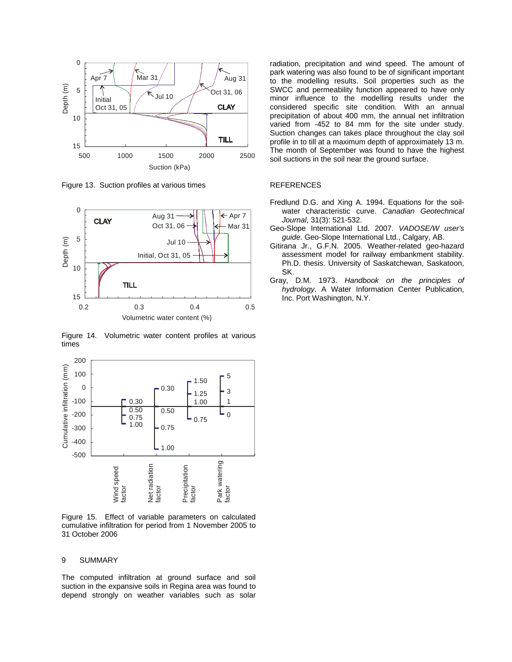

Figure 13. Suction profiles at various times



Figure 14. Volumetric water content profiles at various times



Figure 15. Effect of variable parameters on calculated cumulative infiltration for period from 1 November 2005 to 31 October 2006

#### 9 SUMMARY

The computed infiltration at ground surface and soil suction in the expansive soils in Regina area was found to depend strongly on weather variables such as solar radiation, precipitation and wind speed. The amount of park watering was also found to be of significant important to the modelling results. Soil properties such as the SWCC and permeability function appeared to have only minor influence to the modelling results under the considered specific site condition. With an annual precipitation of about 400 mm, the annual net infiltration varied from -452 to 84 mm for the site under study. Suction changes can takes place throughout the clay soil profile in to till at a maximum depth of approximately 13 m. The month of September was found to have the highest soil suctions in the soil near the ground surface.

#### REFERENCES

- Fredlund D.G. and Xing A. 1994. Equations for the soilwater characteristic curve. *Canadian Geotechnical Journal*, 31(3): 521-532.
- Geo-Slope International Ltd. 2007. *VADOSE/W user's guide*. Geo-Slope International Ltd., Calgary, AB.
- Gitirana Jr., G.F.N. 2005. Weather-related geo-hazard assessment model for railway embankment stability. Ph.D. thesis. University of Saskatchewan, Saskatoon, SK.
- Gray, D.M. 1973. *Handbook on the principles of hydrology*. A Water Information Center Publication, Inc. Port Washington, N.Y.